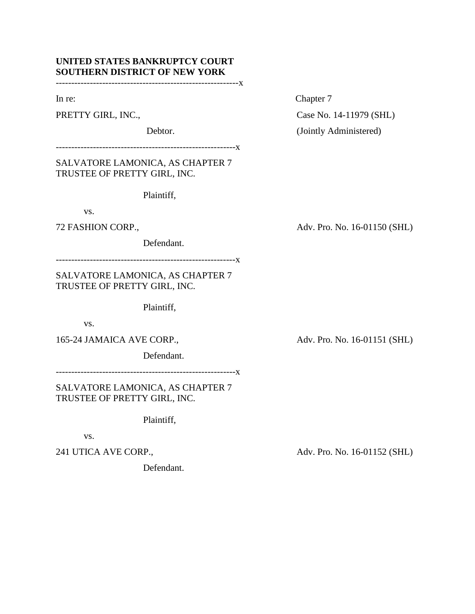# **UNITED STATES BANKRUPTCY COURT SOUTHERN DISTRICT OF NEW YORK**

-----------------------------------------------------------x

----------------------------------------------------------x

SALVATORE LAMONICA, AS CHAPTER 7 TRUSTEE OF PRETTY GIRL, INC.

Plaintiff,

vs.

Defendant.

----------------------------------------------------------x

SALVATORE LAMONICA, AS CHAPTER 7 TRUSTEE OF PRETTY GIRL, INC.

Plaintiff,

vs.

165-24 JAMAICA AVE CORP., Adv. Pro. No. 16-01151 (SHL)

Defendant.

----------------------------------------------------------x

SALVATORE LAMONICA, AS CHAPTER 7 TRUSTEE OF PRETTY GIRL, INC.

Plaintiff,

vs.

Defendant.

In re: Chapter 7

PRETTY GIRL, INC., Case No. 14-11979 (SHL) Debtor. (Jointly Administered)

72 FASHION CORP., Adv. Pro. No. 16-01150 (SHL)

241 UTICA AVE CORP., Adv. Pro. No. 16-01152 (SHL)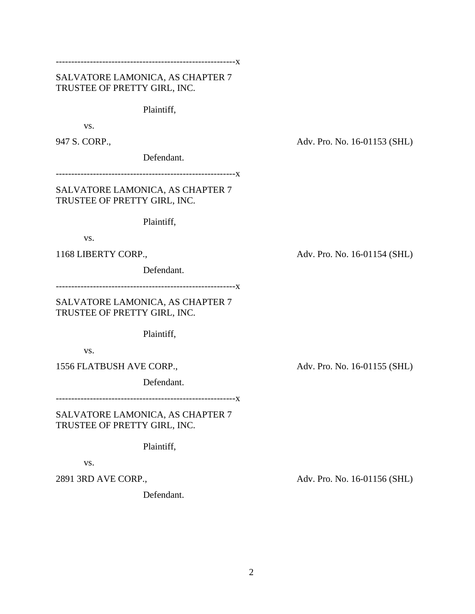----------------------------------------------------------x

## SALVATORE LAMONICA, AS CHAPTER 7 TRUSTEE OF PRETTY GIRL, INC.

Plaintiff,

vs.

Defendant.

----------------------------------------------------------x

SALVATORE LAMONICA, AS CHAPTER 7 TRUSTEE OF PRETTY GIRL, INC.

Plaintiff,

vs.

Defendant.

----------------------------------------------------------x

SALVATORE LAMONICA, AS CHAPTER 7 TRUSTEE OF PRETTY GIRL, INC.

Plaintiff,

vs.

1556 FLATBUSH AVE CORP., Adv. Pro. No. 16-01155 (SHL)

Defendant.

----------------------------------------------------------x

SALVATORE LAMONICA, AS CHAPTER 7 TRUSTEE OF PRETTY GIRL, INC.

Plaintiff,

vs.

Defendant.

947 S. CORP., Adv. Pro. No. 16-01153 (SHL)

1168 LIBERTY CORP., Adv. Pro. No. 16-01154 (SHL)

2891 3RD AVE CORP., Adv. Pro. No. 16-01156 (SHL)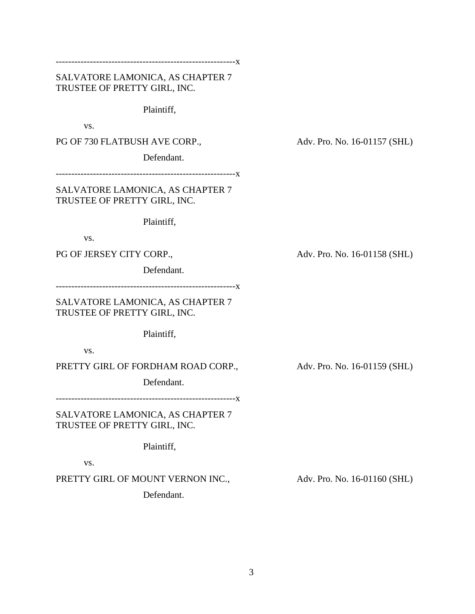----------------------------------------------------------x

SALVATORE LAMONICA, AS CHAPTER 7 TRUSTEE OF PRETTY GIRL, INC.

Plaintiff,

vs.

PG OF 730 FLATBUSH AVE CORP., Adv. Pro. No. 16-01157 (SHL)

Defendant.

----------------------------------------------------------x

SALVATORE LAMONICA, AS CHAPTER 7 TRUSTEE OF PRETTY GIRL, INC.

Plaintiff,

vs.

Defendant.

----------------------------------------------------------x

SALVATORE LAMONICA, AS CHAPTER 7 TRUSTEE OF PRETTY GIRL, INC.

Plaintiff,

vs.

PRETTY GIRL OF FORDHAM ROAD CORP., Adv. Pro. No. 16-01159 (SHL)

Defendant.

----------------------------------------------------------x

SALVATORE LAMONICA, AS CHAPTER 7 TRUSTEE OF PRETTY GIRL, INC.

Plaintiff,

vs.

PRETTY GIRL OF MOUNT VERNON INC., Adv. Pro. No. 16-01160 (SHL)

Defendant.

PG OF JERSEY CITY CORP., Adv. Pro. No. 16-01158 (SHL)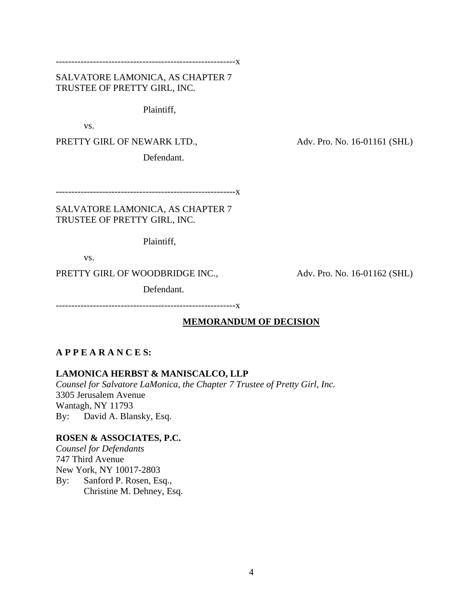----------------------------------------------------------x

SALVATORE LAMONICA, AS CHAPTER 7 TRUSTEE OF PRETTY GIRL, INC.

Plaintiff,

vs.

PRETTY GIRL OF NEWARK LTD., Adv. Pro. No. 16-01161 (SHL)

Defendant.

----------------------------------------------------------x

SALVATORE LAMONICA, AS CHAPTER 7 TRUSTEE OF PRETTY GIRL, INC.

Plaintiff,

vs.

PRETTY GIRL OF WOODBRIDGE INC., Adv. Pro. No. 16-01162 (SHL)

Defendant.

----------------------------------------------------------x

### **MEMORANDUM OF DECISION**

## **A P P E A R A N C E S:**

**LAMONICA HERBST & MANISCALCO, LLP**

*Counsel for Salvatore LaMonica, the Chapter 7 Trustee of Pretty Girl, Inc.* 3305 Jerusalem Avenue Wantagh, NY 11793 By: David A. Blansky, Esq.

### **ROSEN & ASSOCIATES, P.C.**

*Counsel for Defendants* 747 Third Avenue New York, NY 10017-2803 By: Sanford P. Rosen, Esq., Christine M. Dehney, Esq.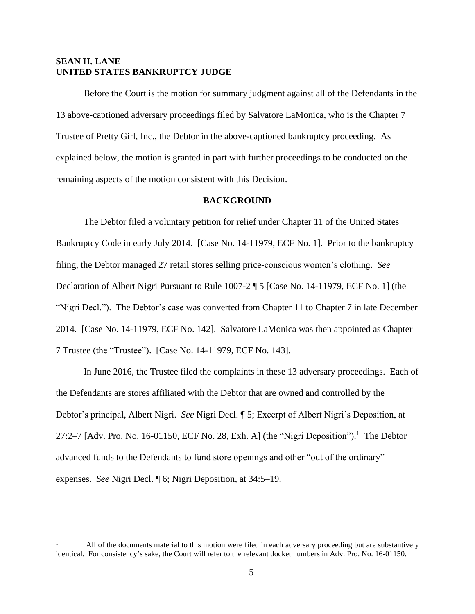## **SEAN H. LANE UNITED STATES BANKRUPTCY JUDGE**

Before the Court is the motion for summary judgment against all of the Defendants in the 13 above-captioned adversary proceedings filed by Salvatore LaMonica, who is the Chapter 7 Trustee of Pretty Girl, Inc., the Debtor in the above-captioned bankruptcy proceeding. As explained below, the motion is granted in part with further proceedings to be conducted on the remaining aspects of the motion consistent with this Decision.

#### **BACKGROUND**

The Debtor filed a voluntary petition for relief under Chapter 11 of the United States Bankruptcy Code in early July 2014. [Case No. 14-11979, ECF No. 1]. Prior to the bankruptcy filing, the Debtor managed 27 retail stores selling price-conscious women's clothing. *See* Declaration of Albert Nigri Pursuant to Rule 1007-2 ¶ 5 [Case No. 14-11979, ECF No. 1] (the "Nigri Decl."). The Debtor's case was converted from Chapter 11 to Chapter 7 in late December 2014. [Case No. 14-11979, ECF No. 142]. Salvatore LaMonica was then appointed as Chapter 7 Trustee (the "Trustee"). [Case No. 14-11979, ECF No. 143].

In June 2016, the Trustee filed the complaints in these 13 adversary proceedings. Each of the Defendants are stores affiliated with the Debtor that are owned and controlled by the Debtor's principal, Albert Nigri. *See* Nigri Decl. ¶ 5; Excerpt of Albert Nigri's Deposition, at 27:2–7 [Adv. Pro. No. 16-01150, ECF No. 28, Exh. A] (the "Nigri Deposition").<sup>1</sup> The Debtor advanced funds to the Defendants to fund store openings and other "out of the ordinary" expenses. *See* Nigri Decl. ¶ 6; Nigri Deposition, at 34:5–19.

<sup>1</sup> All of the documents material to this motion were filed in each adversary proceeding but are substantively identical. For consistency's sake, the Court will refer to the relevant docket numbers in Adv. Pro. No. 16-01150.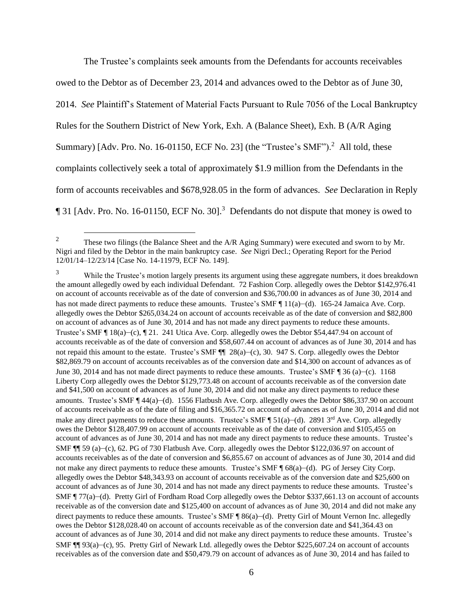The Trustee's complaints seek amounts from the Defendants for accounts receivables owed to the Debtor as of December 23, 2014 and advances owed to the Debtor as of June 30, 2014. *See* Plaintiff's Statement of Material Facts Pursuant to Rule 7056 of the Local Bankruptcy Rules for the Southern District of New York, Exh. A (Balance Sheet), Exh. B (A/R Aging Summary)  $\lceil \text{Adv. Pro. No. 16-01150, ECF No. 23} \rceil$  (the "Trustee's SMF").<sup>2</sup> All told, these complaints collectively seek a total of approximately \$1.9 million from the Defendants in the form of accounts receivables and \$678,928.05 in the form of advances. *See* Declaration in Reply 131 [Adv. Pro. No. 16-01150, ECF No. 30].<sup>3</sup> Defendants do not dispute that money is owed to

<sup>&</sup>lt;sup>2</sup> These two filings (the Balance Sheet and the  $A/R$  Aging Summary) were executed and sworn to by Mr. Nigri and filed by the Debtor in the main bankruptcy case. *See* Nigri Decl.; Operating Report for the Period 12/01/14–12/23/14 [Case No. 14-11979, ECF No. 149].

While the Trustee's motion largely presents its argument using these aggregate numbers, it does breakdown the amount allegedly owed by each individual Defendant. 72 Fashion Corp. allegedly owes the Debtor \$142,976.41 on account of accounts receivable as of the date of conversion and \$36,700.00 in advances as of June 30, 2014 and has not made direct payments to reduce these amounts. Trustee's SMF ¶ 11(a)–(d). 165-24 Jamaica Ave. Corp. allegedly owes the Debtor \$265,034.24 on account of accounts receivable as of the date of conversion and \$82,800 on account of advances as of June 30, 2014 and has not made any direct payments to reduce these amounts. Trustee's SMF ¶ 18(a)–(c), ¶ 21. 241 Utica Ave. Corp. allegedly owes the Debtor \$54,447.94 on account of accounts receivable as of the date of conversion and \$58,607.44 on account of advances as of June 30, 2014 and has not repaid this amount to the estate. Trustee's SMF ¶¶ 28(a)–(c), 30. 947 S. Corp. allegedly owes the Debtor \$82,869.79 on account of accounts receivables as of the conversion date and \$14,300 on account of advances as of June 30, 2014 and has not made direct payments to reduce these amounts. Trustee's SMF ¶ 36 (a)–(c). 1168 Liberty Corp allegedly owes the Debtor \$129,773.48 on account of accounts receivable as of the conversion date and \$41,500 on account of advances as of June 30, 2014 and did not make any direct payments to reduce these amounts. Trustee's SMF ¶ 44(a)–(d). 1556 Flatbush Ave. Corp. allegedly owes the Debtor \$86,337.90 on account of accounts receivable as of the date of filing and \$16,365.72 on account of advances as of June 30, 2014 and did not make any direct payments to reduce these amounts. Trustee's SMF  $\P$  51(a)–(d). 2891 3<sup>rd</sup> Ave. Corp. allegedly owes the Debtor \$128,407.99 on account of accounts receivable as of the date of conversion and \$105,455 on account of advances as of June 30, 2014 and has not made any direct payments to reduce these amounts. Trustee's SMF ¶¶ 59 (a)–(c), 62. PG of 730 Flatbush Ave. Corp. allegedly owes the Debtor \$122,036.97 on account of accounts receivables as of the date of conversion and \$6,855.67 on account of advances as of June 30, 2014 and did not make any direct payments to reduce these amounts. Trustee's SMF ¶ 68(a)–(d). PG of Jersey City Corp. allegedly owes the Debtor \$48,343.93 on account of accounts receivable as of the conversion date and \$25,600 on account of advances as of June 30, 2014 and has not made any direct payments to reduce these amounts. Trustee's SMF ¶ 77(a)–(d). Pretty Girl of Fordham Road Corp allegedly owes the Debtor \$337,661.13 on account of accounts receivable as of the conversion date and \$125,400 on account of advances as of June 30, 2014 and did not make any direct payments to reduce these amounts. Trustee's SMF ¶ 86(a)–(d). Pretty Girl of Mount Vernon Inc. allegedly owes the Debtor \$128,028.40 on account of accounts receivable as of the conversion date and \$41,364.43 on account of advances as of June 30, 2014 and did not make any direct payments to reduce these amounts. Trustee's SMF ¶¶ 93(a)–(c), 95. Pretty Girl of Newark Ltd. allegedly owes the Debtor \$225,607.24 on account of accounts receivables as of the conversion date and \$50,479.79 on account of advances as of June 30, 2014 and has failed to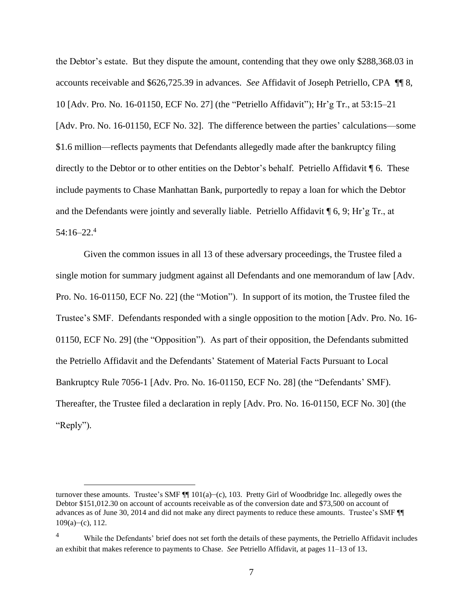the Debtor's estate. But they dispute the amount, contending that they owe only \$288,368.03 in accounts receivable and \$626,725.39 in advances. *See* Affidavit of Joseph Petriello, CPA ¶¶ 8, 10 [Adv. Pro. No. 16-01150, ECF No. 27] (the "Petriello Affidavit"); Hr'g Tr., at 53:15–21 [Adv. Pro. No. 16-01150, ECF No. 32]. The difference between the parties' calculations—some \$1.6 million—reflects payments that Defendants allegedly made after the bankruptcy filing directly to the Debtor or to other entities on the Debtor's behalf. Petriello Affidavit ¶ 6. These include payments to Chase Manhattan Bank, purportedly to repay a loan for which the Debtor and the Defendants were jointly and severally liable. Petriello Affidavit ¶ 6, 9; Hr'g Tr., at 54:16–22. 4

Given the common issues in all 13 of these adversary proceedings, the Trustee filed a single motion for summary judgment against all Defendants and one memorandum of law [Adv. Pro. No. 16-01150, ECF No. 22] (the "Motion"). In support of its motion, the Trustee filed the Trustee's SMF. Defendants responded with a single opposition to the motion [Adv. Pro. No. 16- 01150, ECF No. 29] (the "Opposition"). As part of their opposition, the Defendants submitted the Petriello Affidavit and the Defendants' Statement of Material Facts Pursuant to Local Bankruptcy Rule 7056-1 [Adv. Pro. No. 16-01150, ECF No. 28] (the "Defendants' SMF). Thereafter, the Trustee filed a declaration in reply [Adv. Pro. No. 16-01150, ECF No. 30] (the "Reply").

turnover these amounts. Trustee's SMF ¶¶ 101(a)–(c), 103. Pretty Girl of Woodbridge Inc. allegedly owes the Debtor \$151,012.30 on account of accounts receivable as of the conversion date and \$73,500 on account of advances as of June 30, 2014 and did not make any direct payments to reduce these amounts. Trustee's SMF ¶¶  $109(a)$ –(c), 112.

<sup>&</sup>lt;sup>4</sup> While the Defendants' brief does not set forth the details of these payments, the Petriello Affidavit includes an exhibit that makes reference to payments to Chase. *See* Petriello Affidavit, at pages 11–13 of 13.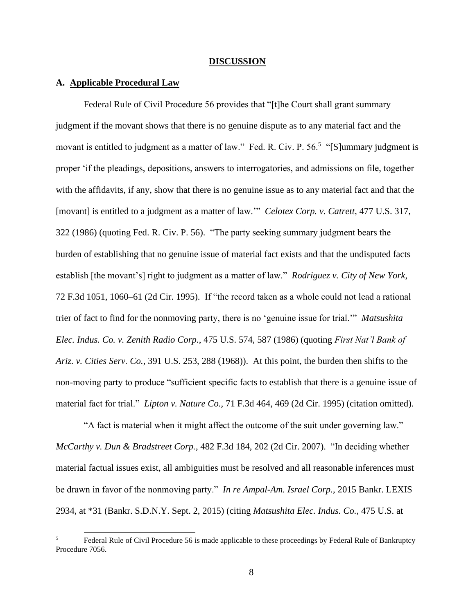#### **DISCUSSION**

### **A. Applicable Procedural Law**

Federal Rule of Civil Procedure 56 provides that "[t]he Court shall grant summary judgment if the movant shows that there is no genuine dispute as to any material fact and the movant is entitled to judgment as a matter of law." Fed. R. Civ. P. 56.<sup>5</sup> "[S]ummary judgment is proper 'if the pleadings, depositions, answers to interrogatories, and admissions on file, together with the affidavits, if any, show that there is no genuine issue as to any material fact and that the [movant] is entitled to a judgment as a matter of law.'" *Celotex Corp. v. Catrett*, 477 U.S. 317, 322 (1986) (quoting Fed. R. Civ. P. 56). "The party seeking summary judgment bears the burden of establishing that no genuine issue of material fact exists and that the undisputed facts establish [the movant's] right to judgment as a matter of law." *Rodriguez v. City of New York*, 72 F.3d 1051, 1060–61 (2d Cir. 1995). If "the record taken as a whole could not lead a rational trier of fact to find for the nonmoving party, there is no 'genuine issue for trial.'" *Matsushita Elec. Indus. Co. v. Zenith Radio Corp.*, 475 U.S. 574, 587 (1986) (quoting *First Nat'l Bank of Ariz. v. Cities Serv. Co.*, 391 U.S. 253, 288 (1968)). At this point, the burden then shifts to the non-moving party to produce "sufficient specific facts to establish that there is a genuine issue of material fact for trial." *Lipton v. Nature Co.,* 71 F.3d 464, 469 (2d Cir. 1995) (citation omitted).

"A fact is material when it might affect the outcome of the suit under governing law." *McCarthy v. Dun & Bradstreet Corp.*, 482 F.3d 184, 202 (2d Cir. 2007). "In deciding whether material factual issues exist, all ambiguities must be resolved and all reasonable inferences must be drawn in favor of the nonmoving party." *In re Ampal-Am. Israel Corp.*, 2015 Bankr. LEXIS 2934, at \*31 (Bankr. S.D.N.Y. Sept. 2, 2015) (citing *Matsushita Elec. Indus. Co.*, 475 U.S. at

Federal Rule of Civil Procedure 56 is made applicable to these proceedings by Federal Rule of Bankruptcy Procedure 7056.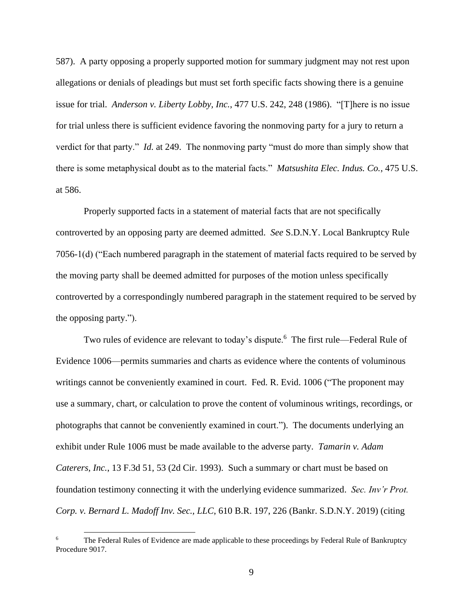587). A party opposing a properly supported motion for summary judgment may not rest upon allegations or denials of pleadings but must set forth specific facts showing there is a genuine issue for trial. *Anderson v. Liberty Lobby, Inc.*, 477 U.S. 242, 248 (1986). "[T]here is no issue for trial unless there is sufficient evidence favoring the nonmoving party for a jury to return a verdict for that party." *Id.* at 249. The nonmoving party "must do more than simply show that there is some metaphysical doubt as to the material facts." *Matsushita Elec. Indus. Co.*, 475 U.S. at 586.

Properly supported facts in a statement of material facts that are not specifically controverted by an opposing party are deemed admitted. *See* S.D.N.Y. Local Bankruptcy Rule 7056-1(d) ("Each numbered paragraph in the statement of material facts required to be served by the moving party shall be deemed admitted for purposes of the motion unless specifically controverted by a correspondingly numbered paragraph in the statement required to be served by the opposing party.").

Two rules of evidence are relevant to today's dispute.<sup>6</sup> The first rule—Federal Rule of Evidence 1006—permits summaries and charts as evidence where the contents of voluminous writings cannot be conveniently examined in court. Fed. R. Evid. 1006 ("The proponent may use a summary, chart, or calculation to prove the content of voluminous writings, recordings, or photographs that cannot be conveniently examined in court."). The documents underlying an exhibit under Rule 1006 must be made available to the adverse party. *Tamarin v. Adam Caterers, Inc.*, 13 F.3d 51, 53 (2d Cir. 1993). Such a summary or chart must be based on foundation testimony connecting it with the underlying evidence summarized. *Sec. Inv'r Prot. Corp. v. Bernard L. Madoff Inv. Sec., LLC*, 610 B.R. 197, 226 (Bankr. S.D.N.Y. 2019) (citing

The Federal Rules of Evidence are made applicable to these proceedings by Federal Rule of Bankruptcy Procedure 9017.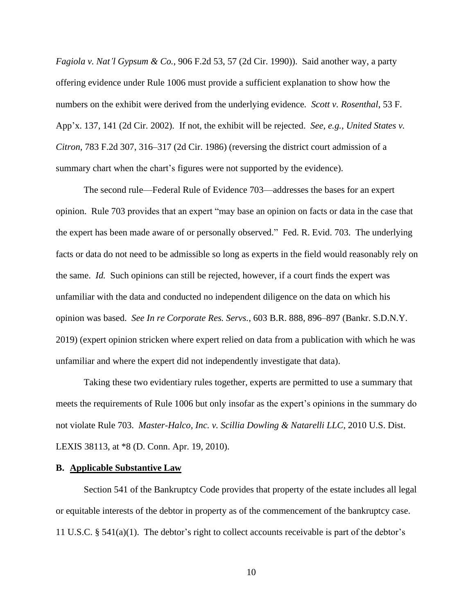*Fagiola v. Nat'l Gypsum & Co.*, 906 F.2d 53, 57 (2d Cir. 1990)). Said another way, a party offering evidence under Rule 1006 must provide a sufficient explanation to show how the numbers on the exhibit were derived from the underlying evidence*. Scott v. Rosenthal*, 53 F. App'x. 137, 141 (2d Cir. 2002). If not, the exhibit will be rejected. *See, e.g.*, *United States v. Citron*, 783 F.2d 307, 316–317 (2d Cir. 1986) (reversing the district court admission of a summary chart when the chart's figures were not supported by the evidence).

The second rule—Federal Rule of Evidence 703—addresses the bases for an expert opinion. Rule 703 provides that an expert "may base an opinion on facts or data in the case that the expert has been made aware of or personally observed." Fed. R. Evid. 703. The underlying facts or data do not need to be admissible so long as experts in the field would reasonably rely on the same. *Id.* Such opinions can still be rejected, however, if a court finds the expert was unfamiliar with the data and conducted no independent diligence on the data on which his opinion was based. *See In re Corporate Res. Servs.*, 603 B.R. 888, 896–897 (Bankr. S.D.N.Y. 2019) (expert opinion stricken where expert relied on data from a publication with which he was unfamiliar and where the expert did not independently investigate that data).

Taking these two evidentiary rules together, experts are permitted to use a summary that meets the requirements of Rule 1006 but only insofar as the expert's opinions in the summary do not violate Rule 703. *Master-Halco, Inc. v. Scillia Dowling & Natarelli LLC*, 2010 U.S. Dist. LEXIS 38113, at \*8 (D. Conn. Apr. 19, 2010).

#### **B. Applicable Substantive Law**

Section 541 of the Bankruptcy Code provides that property of the estate includes all legal or equitable interests of the debtor in property as of the commencement of the bankruptcy case. 11 U.S.C. § 541(a)(1). The debtor's right to collect accounts receivable is part of the debtor's

10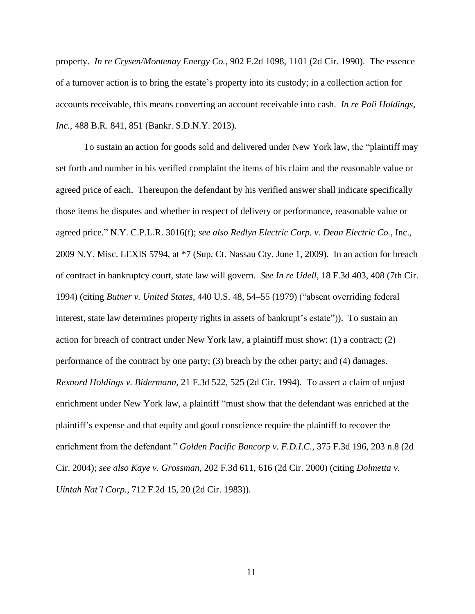property. *In re Crysen/Montenay Energy Co.*, 902 F.2d 1098, 1101 (2d Cir. 1990). The essence of a turnover action is to bring the estate's property into its custody; in a collection action for accounts receivable, this means converting an account receivable into cash. *In re Pali Holdings, Inc.*, 488 B.R. 841, 851 (Bankr. S.D.N.Y. 2013).

To sustain an action for goods sold and delivered under New York law, the "plaintiff may set forth and number in his verified complaint the items of his claim and the reasonable value or agreed price of each. Thereupon the defendant by his verified answer shall indicate specifically those items he disputes and whether in respect of delivery or performance, reasonable value or agreed price." N.Y. C.P.L.R. 3016(f); *see also Redlyn Electric Corp. v. Dean Electric Co.*, Inc., 2009 N.Y. Misc. LEXIS 5794, at \*7 (Sup. Ct. Nassau Cty. June 1, 2009). In an action for breach of contract in bankruptcy court, state law will govern. *See In re Udell*, 18 F.3d 403, 408 (7th Cir. 1994) (citing *Butner v. United States*, 440 U.S. 48, 54–55 (1979) ("absent overriding federal interest, state law determines property rights in assets of bankrupt's estate")). To sustain an action for breach of contract under New York law, a plaintiff must show: (1) a contract; (2) performance of the contract by one party; (3) breach by the other party; and (4) damages. *Rexnord Holdings v. Bidermann*, 21 F.3d 522, 525 (2d Cir. 1994). To assert a claim of unjust enrichment under New York law, a plaintiff "must show that the defendant was enriched at the plaintiff's expense and that equity and good conscience require the plaintiff to recover the enrichment from the defendant." *Golden Pacific Bancorp v. F.D.I.C.*, 375 F.3d 196, 203 n.8 (2d Cir. 2004); *see also Kaye v. Grossman*, 202 F.3d 611, 616 (2d Cir. 2000) (citing *Dolmetta v. Uintah Nat'l Corp.*, 712 F.2d 15, 20 (2d Cir. 1983)).

11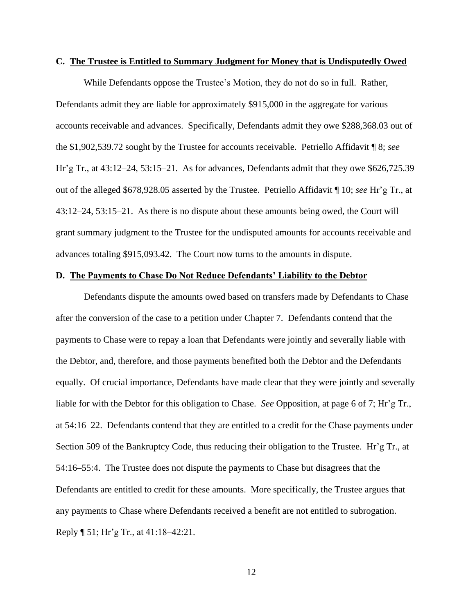### **C. The Trustee is Entitled to Summary Judgment for Money that is Undisputedly Owed**

While Defendants oppose the Trustee's Motion, they do not do so in full. Rather, Defendants admit they are liable for approximately \$915,000 in the aggregate for various accounts receivable and advances. Specifically, Defendants admit they owe \$288,368.03 out of the \$1,902,539.72 sought by the Trustee for accounts receivable. Petriello Affidavit ¶ 8; *see*  Hr'g Tr., at 43:12–24, 53:15–21. As for advances, Defendants admit that they owe \$626,725.39 out of the alleged \$678,928.05 asserted by the Trustee. Petriello Affidavit ¶ 10; *see* Hr'g Tr., at 43:12–24, 53:15–21. As there is no dispute about these amounts being owed, the Court will grant summary judgment to the Trustee for the undisputed amounts for accounts receivable and advances totaling \$915,093.42. The Court now turns to the amounts in dispute.

### **D. The Payments to Chase Do Not Reduce Defendants' Liability to the Debtor**

Defendants dispute the amounts owed based on transfers made by Defendants to Chase after the conversion of the case to a petition under Chapter 7. Defendants contend that the payments to Chase were to repay a loan that Defendants were jointly and severally liable with the Debtor, and, therefore, and those payments benefited both the Debtor and the Defendants equally. Of crucial importance, Defendants have made clear that they were jointly and severally liable for with the Debtor for this obligation to Chase. *See* Opposition, at page 6 of 7; Hr'g Tr., at 54:16–22. Defendants contend that they are entitled to a credit for the Chase payments under Section 509 of the Bankruptcy Code, thus reducing their obligation to the Trustee. Hr'g Tr., at 54:16–55:4. The Trustee does not dispute the payments to Chase but disagrees that the Defendants are entitled to credit for these amounts. More specifically, the Trustee argues that any payments to Chase where Defendants received a benefit are not entitled to subrogation. Reply ¶ 51; Hr'g Tr., at 41:18–42:21.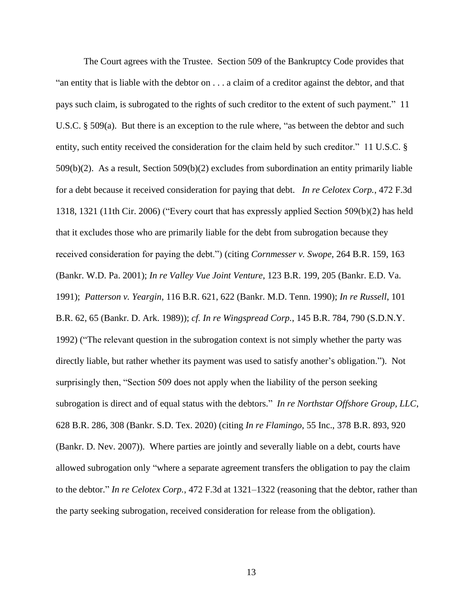The Court agrees with the Trustee. Section 509 of the Bankruptcy Code provides that "an entity that is liable with the debtor on . . . a claim of a creditor against the debtor, and that pays such claim, is subrogated to the rights of such creditor to the extent of such payment." 11 U.S.C. § 509(a). But there is an exception to the rule where, "as between the debtor and such entity, such entity received the consideration for the claim held by such creditor." 11 U.S.C. § 509(b)(2). As a result, Section 509(b)(2) excludes from subordination an entity primarily liable for a debt because it received consideration for paying that debt. *In re Celotex Corp.*, 472 F.3d 1318, 1321 (11th Cir. 2006) ("Every court that has expressly applied Section 509(b)(2) has held that it excludes those who are primarily liable for the debt from subrogation because they received consideration for paying the debt.") (citing *Cornmesser v. Swope*, 264 B.R. 159, 163 (Bankr. W.D. Pa. 2001); *In re Valley Vue Joint Venture*, 123 B.R. 199, 205 (Bankr. E.D. Va. 1991); *Patterson v. Yeargin*, 116 B.R. 621, 622 (Bankr. M.D. Tenn. 1990); *In re Russell*, 101 B.R. 62, 65 (Bankr. D. Ark. 1989)); *cf. In re Wingspread Corp.*, 145 B.R. 784, 790 (S.D.N.Y. 1992) ("The relevant question in the subrogation context is not simply whether the party was directly liable, but rather whether its payment was used to satisfy another's obligation."). Not surprisingly then, "Section 509 does not apply when the liability of the person seeking subrogation is direct and of equal status with the debtors." *In re Northstar Offshore Group, LLC*, 628 B.R. 286, 308 (Bankr. S.D. Tex. 2020) (citing *In re Flamingo*, 55 Inc., 378 B.R. 893, 920 (Bankr. D. Nev. 2007)). Where parties are jointly and severally liable on a debt, courts have allowed subrogation only "where a separate agreement transfers the obligation to pay the claim to the debtor." *In re Celotex Corp.*, 472 F.3d at 1321–1322 (reasoning that the debtor, rather than the party seeking subrogation, received consideration for release from the obligation).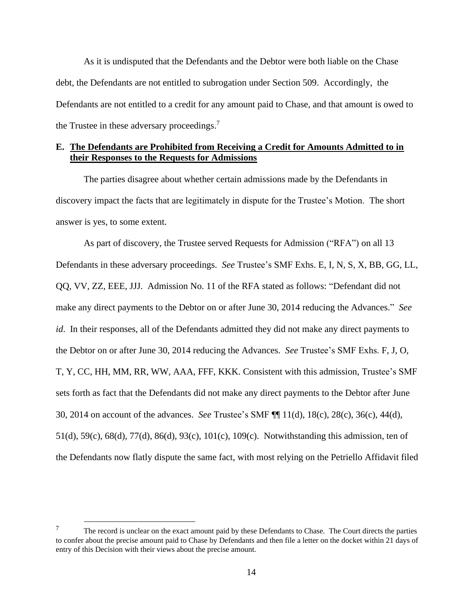As it is undisputed that the Defendants and the Debtor were both liable on the Chase debt, the Defendants are not entitled to subrogation under Section 509. Accordingly, the Defendants are not entitled to a credit for any amount paid to Chase, and that amount is owed to the Trustee in these adversary proceedings.<sup>7</sup>

## <span id="page-13-0"></span>**E. The Defendants are Prohibited from Receiving a Credit for Amounts Admitted to in their Responses to the Requests for Admissions**

The parties disagree about whether certain admissions made by the Defendants in discovery impact the facts that are legitimately in dispute for the Trustee's Motion. The short answer is yes, to some extent.

As part of discovery, the Trustee served Requests for Admission ("RFA") on all 13 Defendants in these adversary proceedings. *See* Trustee's SMF Exhs. E, I, N, S, X, BB, GG, LL, QQ, VV, ZZ, EEE, JJJ. Admission No. 11 of the RFA stated as follows: "Defendant did not make any direct payments to the Debtor on or after June 30, 2014 reducing the Advances." *See id*. In their responses, all of the Defendants admitted they did not make any direct payments to the Debtor on or after June 30, 2014 reducing the Advances. *See* Trustee's SMF Exhs. F, J, O, T, Y, CC, HH, MM, RR, WW, AAA, FFF, KKK. Consistent with this admission, Trustee's SMF sets forth as fact that the Defendants did not make any direct payments to the Debtor after June 30, 2014 on account of the advances. *See* Trustee's SMF ¶¶ 11(d), 18(c), 28(c), 36(c), 44(d), 51(d), 59(c), 68(d), 77(d), 86(d), 93(c), 101(c), 109(c). Notwithstanding this admission, ten of the Defendants now flatly dispute the same fact, with most relying on the Petriello Affidavit filed

<sup>&</sup>lt;sup>7</sup> The record is unclear on the exact amount paid by these Defendants to Chase. The Court directs the parties to confer about the precise amount paid to Chase by Defendants and then file a letter on the docket within 21 days of entry of this Decision with their views about the precise amount.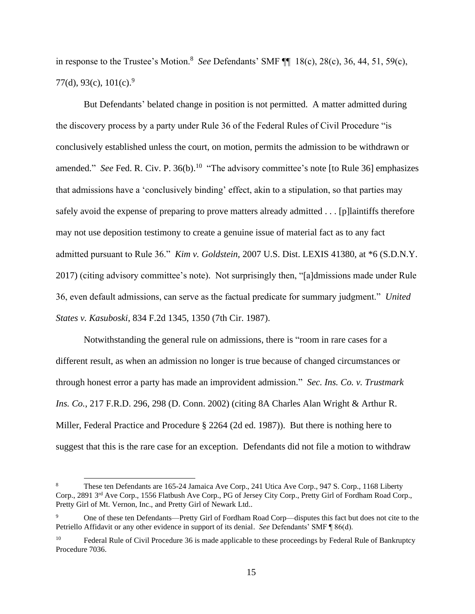in response to the Trustee's Motion.<sup>8</sup> *See* Defendants' SMF ¶¶ 18(c), 28(c), 36, 44, 51, 59(c), 77(d), 93(c),  $101(c)$ .<sup>9</sup>

But Defendants' belated change in position is not permitted. A matter admitted during the discovery process by a party under Rule 36 of the Federal Rules of Civil Procedure "is conclusively established unless the court, on motion, permits the admission to be withdrawn or amended." See Fed. R. Civ. P. 36(b).<sup>10</sup> "The advisory committee's note [to Rule 36] emphasizes that admissions have a 'conclusively binding' effect, akin to a stipulation, so that parties may safely avoid the expense of preparing to prove matters already admitted . . . [p]laintiffs therefore may not use deposition testimony to create a genuine issue of material fact as to any fact admitted pursuant to Rule 36." *Kim v. Goldstein,* 2007 U.S. Dist. LEXIS 41380, at \*6 (S.D.N.Y. 2017) (citing advisory committee's note). Not surprisingly then, "[a]dmissions made under Rule 36, even default admissions, can serve as the factual predicate for summary judgment." *United States v. Kasuboski*, 834 F.2d 1345, 1350 (7th Cir. 1987).

Notwithstanding the general rule on admissions, there is "room in rare cases for a different result, as when an admission no longer is true because of changed circumstances or through honest error a party has made an improvident admission." *Sec. Ins. Co. v. Trustmark Ins. Co.*, 217 F.R.D. 296, 298 (D. Conn. 2002) (citing 8A Charles Alan Wright & Arthur R. Miller, Federal Practice and Procedure § 2264 (2d ed. 1987)). But there is nothing here to suggest that this is the rare case for an exception. Defendants did not file a motion to withdraw

<sup>8</sup> These ten Defendants are 165-24 Jamaica Ave Corp., 241 Utica Ave Corp., 947 S. Corp., 1168 Liberty Corp., 2891 3rd Ave Corp., 1556 Flatbush Ave Corp., PG of Jersey City Corp., Pretty Girl of Fordham Road Corp., Pretty Girl of Mt. Vernon, Inc., and Pretty Girl of Newark Ltd..

<sup>9</sup> One of these ten Defendants—Pretty Girl of Fordham Road Corp—disputes this fact but does not cite to the Petriello Affidavit or any other evidence in support of its denial. *See* Defendants' SMF ¶ 86(d).

<sup>10</sup> Federal Rule of Civil Procedure 36 is made applicable to these proceedings by Federal Rule of Bankruptcy Procedure 7036.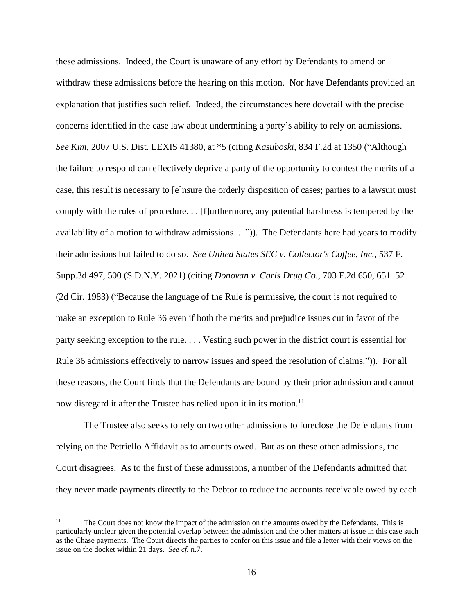these admissions. Indeed, the Court is unaware of any effort by Defendants to amend or withdraw these admissions before the hearing on this motion. Nor have Defendants provided an explanation that justifies such relief. Indeed, the circumstances here dovetail with the precise concerns identified in the case law about undermining a party's ability to rely on admissions. *See Kim*, 2007 U.S. Dist. LEXIS 41380, at \*5 (citing *Kasuboski,* 834 F.2d at 1350 ("Although the failure to respond can effectively deprive a party of the opportunity to contest the merits of a case, this result is necessary to [e]nsure the orderly disposition of cases; parties to a lawsuit must comply with the rules of procedure. . . [f]urthermore, any potential harshness is tempered by the availability of a motion to withdraw admissions. . .")). The Defendants here had years to modify their admissions but failed to do so. *See United States SEC v. Collector's Coffee, Inc.*, 537 F. Supp.3d 497, 500 (S.D.N.Y. 2021) (citing *Donovan v. Carls Drug Co.*, 703 F.2d 650, 651–52 (2d Cir. 1983) ("Because the language of the Rule is permissive, the court is not required to make an exception to Rule 36 even if both the merits and prejudice issues cut in favor of the party seeking exception to the rule. . . . Vesting such power in the district court is essential for Rule 36 admissions effectively to narrow issues and speed the resolution of claims.")). For all these reasons, the Court finds that the Defendants are bound by their prior admission and cannot now disregard it after the Trustee has relied upon it in its motion.<sup>11</sup>

The Trustee also seeks to rely on two other admissions to foreclose the Defendants from relying on the Petriello Affidavit as to amounts owed. But as on these other admissions, the Court disagrees. As to the first of these admissions, a number of the Defendants admitted that they never made payments directly to the Debtor to reduce the accounts receivable owed by each

<sup>&</sup>lt;sup>11</sup> The Court does not know the impact of the admission on the amounts owed by the Defendants. This is particularly unclear given the potential overlap between the admission and the other matters at issue in this case such as the Chase payments. The Court directs the parties to confer on this issue and file a letter with their views on the issue on the docket within 21 days. *See cf.* n[.7.](#page-13-0)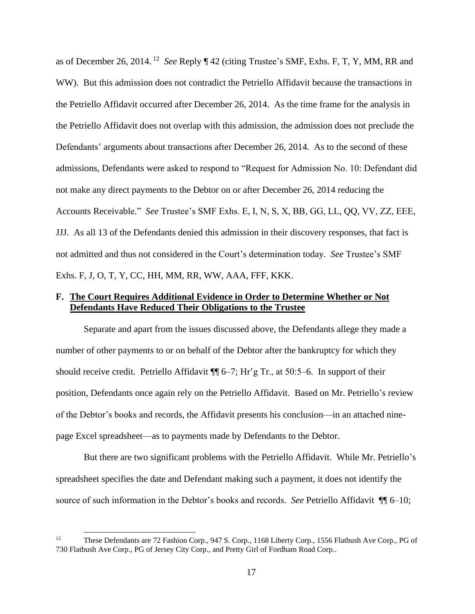as of December 26, 2014. <sup>12</sup> *See* Reply ¶ 42 (citing Trustee's SMF, Exhs. F, T, Y, MM, RR and WW). But this admission does not contradict the Petriello Affidavit because the transactions in the Petriello Affidavit occurred after December 26, 2014. As the time frame for the analysis in the Petriello Affidavit does not overlap with this admission, the admission does not preclude the Defendants' arguments about transactions after December 26, 2014. As to the second of these admissions, Defendants were asked to respond to "Request for Admission No. 10: Defendant did not make any direct payments to the Debtor on or after December 26, 2014 reducing the Accounts Receivable." *See* Trustee's SMF Exhs. E, I, N, S, X, BB, GG, LL, QQ, VV, ZZ, EEE, JJJ. As all 13 of the Defendants denied this admission in their discovery responses, that fact is not admitted and thus not considered in the Court's determination today. *See* Trustee's SMF Exhs. F, J, O, T, Y, CC, HH, MM, RR, WW, AAA, FFF, KKK.

## **F. The Court Requires Additional Evidence in Order to Determine Whether or Not Defendants Have Reduced Their Obligations to the Trustee**

Separate and apart from the issues discussed above, the Defendants allege they made a number of other payments to or on behalf of the Debtor after the bankruptcy for which they should receive credit. Petriello Affidavit  $\P\P$  6–7; Hr'g Tr., at 50:5–6. In support of their position, Defendants once again rely on the Petriello Affidavit. Based on Mr. Petriello's review of the Debtor's books and records, the Affidavit presents his conclusion—in an attached ninepage Excel spreadsheet—as to payments made by Defendants to the Debtor.

But there are two significant problems with the Petriello Affidavit. While Mr. Petriello's spreadsheet specifies the date and Defendant making such a payment, it does not identify the source of such information in the Debtor's books and records. *See* Petriello Affidavit ¶¶ 6–10;

<sup>&</sup>lt;sup>12</sup> These Defendants are 72 Fashion Corp., 947 S. Corp., 1168 Liberty Corp., 1556 Flatbush Ave Corp., PG of 730 Flatbush Ave Corp., PG of Jersey City Corp., and Pretty Girl of Fordham Road Corp..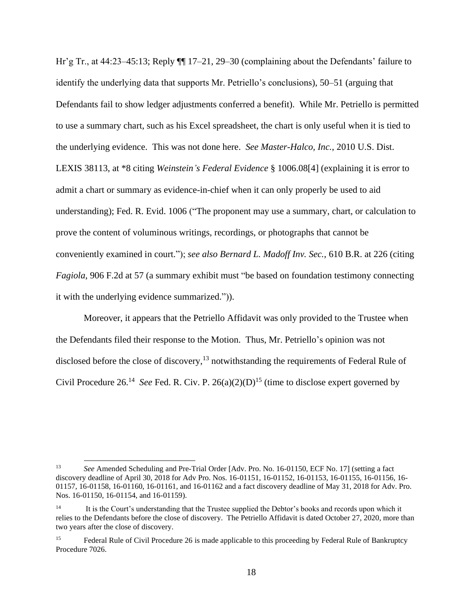Hr'g Tr., at 44:23–45:13; Reply  $\P$  17–21, 29–30 (complaining about the Defendants' failure to identify the underlying data that supports Mr. Petriello's conclusions), 50–51 (arguing that Defendants fail to show ledger adjustments conferred a benefit). While Mr. Petriello is permitted to use a summary chart, such as his Excel spreadsheet, the chart is only useful when it is tied to the underlying evidence. This was not done here. *See Master-Halco, Inc.*, 2010 U.S. Dist. LEXIS 38113, at \*8 citing *Weinstein's Federal Evidence* § 1006.08[4] (explaining it is error to admit a chart or summary as evidence-in-chief when it can only properly be used to aid understanding); Fed. R. Evid. 1006 ("The proponent may use a summary, chart, or calculation to prove the content of voluminous writings, recordings, or photographs that cannot be conveniently examined in court."); *see also Bernard L. Madoff Inv. Sec.*, 610 B.R. at 226 (citing *Fagiola*, 906 F.2d at 57 (a summary exhibit must "be based on foundation testimony connecting it with the underlying evidence summarized.")).

Moreover, it appears that the Petriello Affidavit was only provided to the Trustee when the Defendants filed their response to the Motion. Thus, Mr. Petriello's opinion was not disclosed before the close of discovery,<sup>13</sup> notwithstanding the requirements of Federal Rule of Civil Procedure  $26^{14}$  See Fed. R. Civ. P.  $26(a)(2)(D)^{15}$  (time to disclose expert governed by

<sup>13</sup> *See* Amended Scheduling and Pre-Trial Order [Adv. Pro. No. 16-01150, ECF No. 17] (setting a fact discovery deadline of April 30, 2018 for Adv Pro. Nos. 16-01151, 16-01152, 16-01153, 16-01155, 16-01156, 16- 01157, 16-01158, 16-01160, 16-01161, and 16-01162 and a fact discovery deadline of May 31, 2018 for Adv. Pro. Nos. 16-01150, 16-01154, and 16-01159).

<sup>14</sup> It is the Court's understanding that the Trustee supplied the Debtor's books and records upon which it relies to the Defendants before the close of discovery. The Petriello Affidavit is dated October 27, 2020, more than two years after the close of discovery.

<sup>&</sup>lt;sup>15</sup> Federal Rule of Civil Procedure 26 is made applicable to this proceeding by Federal Rule of Bankruptcy Procedure 7026.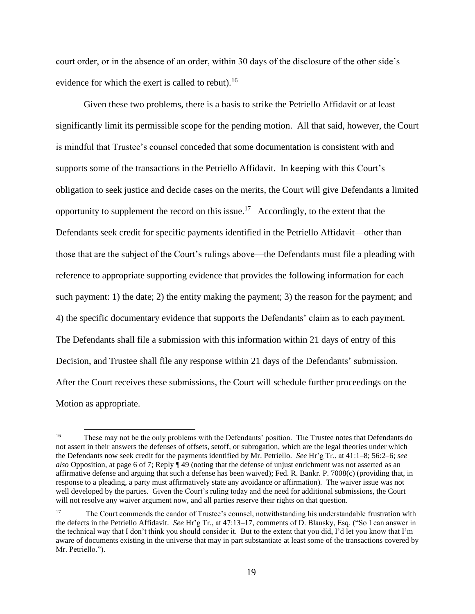court order, or in the absence of an order, within 30 days of the disclosure of the other side's evidence for which the exert is called to rebut).<sup>16</sup>

Given these two problems, there is a basis to strike the Petriello Affidavit or at least significantly limit its permissible scope for the pending motion. All that said, however, the Court is mindful that Trustee's counsel conceded that some documentation is consistent with and supports some of the transactions in the Petriello Affidavit. In keeping with this Court's obligation to seek justice and decide cases on the merits, the Court will give Defendants a limited opportunity to supplement the record on this issue.<sup>17</sup> Accordingly, to the extent that the Defendants seek credit for specific payments identified in the Petriello Affidavit—other than those that are the subject of the Court's rulings above—the Defendants must file a pleading with reference to appropriate supporting evidence that provides the following information for each such payment: 1) the date; 2) the entity making the payment; 3) the reason for the payment; and 4) the specific documentary evidence that supports the Defendants' claim as to each payment. The Defendants shall file a submission with this information within 21 days of entry of this Decision, and Trustee shall file any response within 21 days of the Defendants' submission. After the Court receives these submissions, the Court will schedule further proceedings on the Motion as appropriate.

<sup>&</sup>lt;sup>16</sup> These may not be the only problems with the Defendants' position. The Trustee notes that Defendants do not assert in their answers the defenses of offsets, setoff, or subrogation, which are the legal theories under which the Defendants now seek credit for the payments identified by Mr. Petriello. *See* Hr'g Tr., at 41:1–8; 56:2–6; *see also* Opposition, at page 6 of 7; Reply ¶ 49 (noting that the defense of unjust enrichment was not asserted as an affirmative defense and arguing that such a defense has been waived); Fed. R. Bankr. P. 7008(c) (providing that, in response to a pleading, a party must affirmatively state any avoidance or affirmation). The waiver issue was not well developed by the parties. Given the Court's ruling today and the need for additional submissions, the Court will not resolve any waiver argument now, and all parties reserve their rights on that question.

<sup>&</sup>lt;sup>17</sup> The Court commends the candor of Trustee's counsel, notwithstanding his understandable frustration with the defects in the Petriello Affidavit. *See* Hr'g Tr., at 47:13–17, comments of D. Blansky, Esq. ("So I can answer in the technical way that I don't think you should consider it. But to the extent that you did, I'd let you know that I'm aware of documents existing in the universe that may in part substantiate at least some of the transactions covered by Mr. Petriello.").